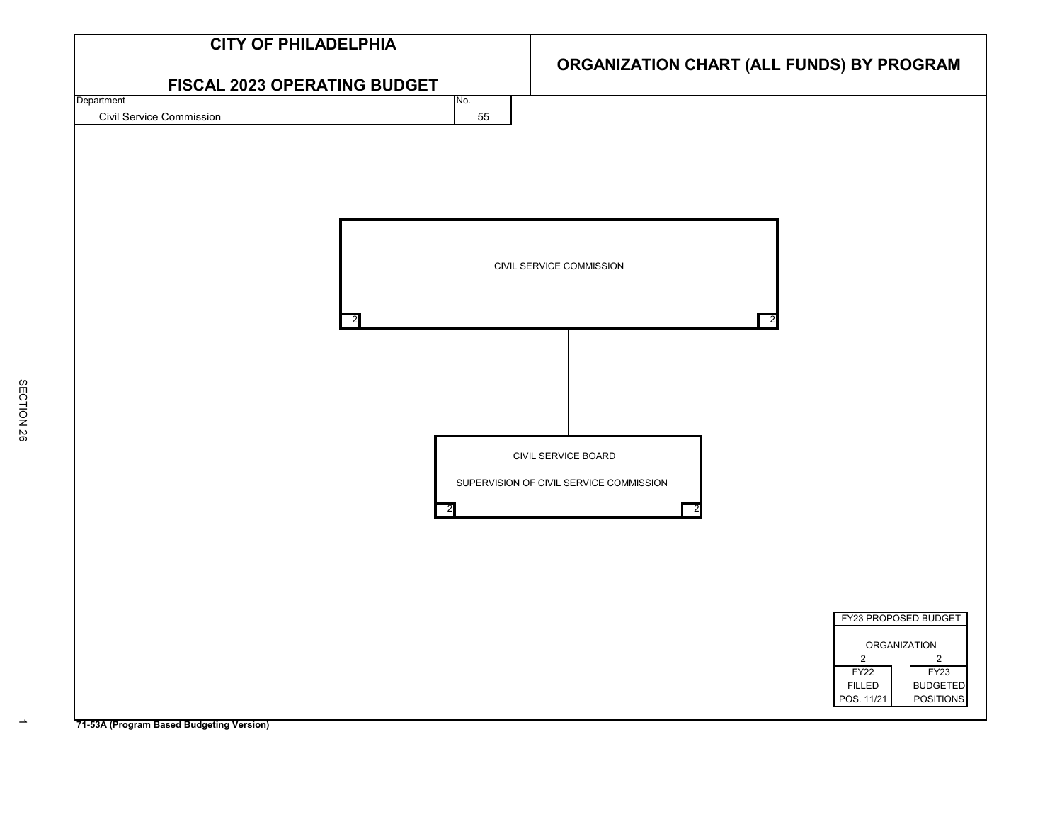

**71-53A (Program Based Budgeting Version)**

 $\rightarrow$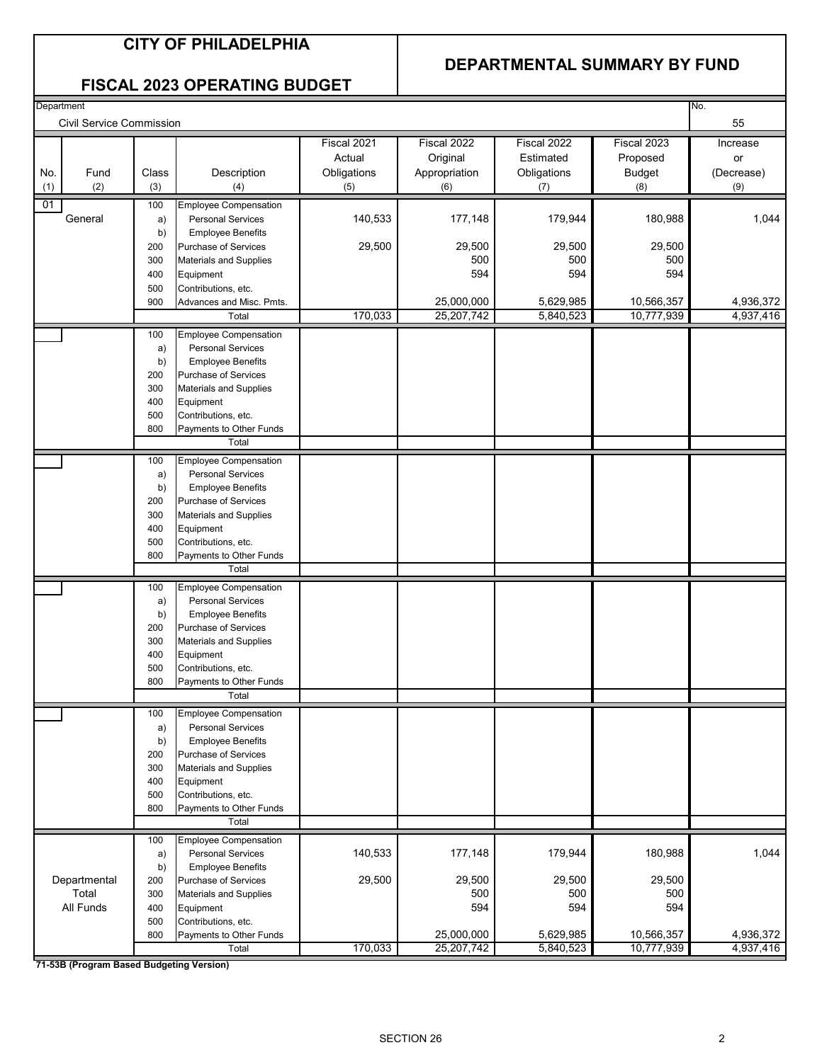#### **DEPARTMENTAL SUMMARY BY FUND**

#### **FISCAL 2023 OPERATING BUDGET**

| Department |                          |       |                               |             |                          |                        |                          | No.                    |
|------------|--------------------------|-------|-------------------------------|-------------|--------------------------|------------------------|--------------------------|------------------------|
|            | Civil Service Commission |       |                               |             |                          |                        |                          | 55                     |
|            |                          |       |                               |             |                          |                        |                          |                        |
|            |                          |       |                               | Fiscal 2021 | Fiscal 2022              | Fiscal 2022            | Fiscal 2023              | Increase               |
|            |                          |       |                               | Actual      | Original                 | Estimated              | Proposed                 | or                     |
| No.        | Fund                     | Class | Description                   | Obligations | Appropriation            | Obligations            | <b>Budget</b>            | (Decrease)             |
| (1)        | (2)                      | (3)   | (4)                           | (5)         | (6)                      | (7)                    | (8)                      | (9)                    |
| 01         |                          | 100   | <b>Employee Compensation</b>  |             |                          |                        |                          |                        |
|            | General                  | a)    | <b>Personal Services</b>      | 140,533     | 177,148                  | 179,944                | 180,988                  | 1,044                  |
|            |                          | b)    | <b>Employee Benefits</b>      |             |                          |                        |                          |                        |
|            |                          | 200   | Purchase of Services          | 29,500      | 29,500                   | 29,500                 | 29,500                   |                        |
|            |                          | 300   | <b>Materials and Supplies</b> |             | 500                      | 500                    | 500                      |                        |
|            |                          |       |                               |             | 594                      | 594                    | 594                      |                        |
|            |                          | 400   | Equipment                     |             |                          |                        |                          |                        |
|            |                          | 500   | Contributions, etc.           |             |                          |                        |                          |                        |
|            |                          | 900   | Advances and Misc. Pmts.      | 170,033     | 25,000,000<br>25,207,742 | 5,629,985<br>5,840,523 | 10,566,357<br>10,777,939 | 4,936,372<br>4,937,416 |
|            |                          |       | Total                         |             |                          |                        |                          |                        |
|            |                          | 100   | <b>Employee Compensation</b>  |             |                          |                        |                          |                        |
|            |                          | a)    | <b>Personal Services</b>      |             |                          |                        |                          |                        |
|            |                          | b)    | <b>Employee Benefits</b>      |             |                          |                        |                          |                        |
|            |                          | 200   | Purchase of Services          |             |                          |                        |                          |                        |
|            |                          | 300   | <b>Materials and Supplies</b> |             |                          |                        |                          |                        |
|            |                          | 400   | Equipment                     |             |                          |                        |                          |                        |
|            |                          | 500   | Contributions, etc.           |             |                          |                        |                          |                        |
|            |                          | 800   | Payments to Other Funds       |             |                          |                        |                          |                        |
|            |                          |       | Total                         |             |                          |                        |                          |                        |
|            |                          | 100   | <b>Employee Compensation</b>  |             |                          |                        |                          |                        |
|            |                          | a)    | <b>Personal Services</b>      |             |                          |                        |                          |                        |
|            |                          | b)    | <b>Employee Benefits</b>      |             |                          |                        |                          |                        |
|            |                          | 200   | Purchase of Services          |             |                          |                        |                          |                        |
|            |                          | 300   | <b>Materials and Supplies</b> |             |                          |                        |                          |                        |
|            |                          | 400   | Equipment                     |             |                          |                        |                          |                        |
|            |                          | 500   | Contributions, etc.           |             |                          |                        |                          |                        |
|            |                          | 800   | Payments to Other Funds       |             |                          |                        |                          |                        |
|            |                          |       | Total                         |             |                          |                        |                          |                        |
|            |                          |       |                               |             |                          |                        |                          |                        |
|            |                          | 100   | <b>Employee Compensation</b>  |             |                          |                        |                          |                        |
|            |                          | a)    | <b>Personal Services</b>      |             |                          |                        |                          |                        |
|            |                          | b)    | <b>Employee Benefits</b>      |             |                          |                        |                          |                        |
|            |                          | 200   | Purchase of Services          |             |                          |                        |                          |                        |
|            |                          | 300   | <b>Materials and Supplies</b> |             |                          |                        |                          |                        |
|            |                          | 400   | Equipment                     |             |                          |                        |                          |                        |
|            |                          | 500   | Contributions, etc.           |             |                          |                        |                          |                        |
|            |                          | 800   | Payments to Other Funds       |             |                          |                        |                          |                        |
|            |                          |       | Total                         |             |                          |                        |                          |                        |
|            |                          | 100   | <b>Employee Compensation</b>  |             |                          |                        |                          |                        |
|            |                          | a)    | <b>Personal Services</b>      |             |                          |                        |                          |                        |
|            |                          | b)    | <b>Employee Benefits</b>      |             |                          |                        |                          |                        |
|            |                          | 200   | Purchase of Services          |             |                          |                        |                          |                        |
|            |                          | 300   | Materials and Supplies        |             |                          |                        |                          |                        |
|            |                          | 400   | Equipment                     |             |                          |                        |                          |                        |
|            |                          | 500   | Contributions, etc.           |             |                          |                        |                          |                        |
|            |                          | 800   | Payments to Other Funds       |             |                          |                        |                          |                        |
|            |                          |       | Total                         |             |                          |                        |                          |                        |
|            |                          | 100   | <b>Employee Compensation</b>  |             |                          |                        |                          |                        |
|            |                          | a)    | <b>Personal Services</b>      | 140,533     | 177,148                  | 179,944                | 180,988                  | 1,044                  |
|            |                          | b)    | <b>Employee Benefits</b>      |             |                          |                        |                          |                        |
|            | Departmental             | 200   | Purchase of Services          | 29,500      | 29,500                   | 29,500                 | 29,500                   |                        |
|            | Total                    | 300   | Materials and Supplies        |             | 500                      | 500                    | 500                      |                        |
|            | All Funds                |       |                               |             | 594                      | 594                    | 594                      |                        |
|            |                          | 400   | Equipment                     |             |                          |                        |                          |                        |
|            |                          | 500   | Contributions, etc.           |             |                          |                        |                          |                        |
|            |                          | 800   | Payments to Other Funds       |             | 25,000,000               | 5,629,985              | 10,566,357<br>10,777,939 | 4,936,372              |
|            |                          |       | Total                         | 170,033     | 25,207,742               | 5,840,523              |                          | 4,937,416              |

**71-53B (Program Based Budgeting Version)**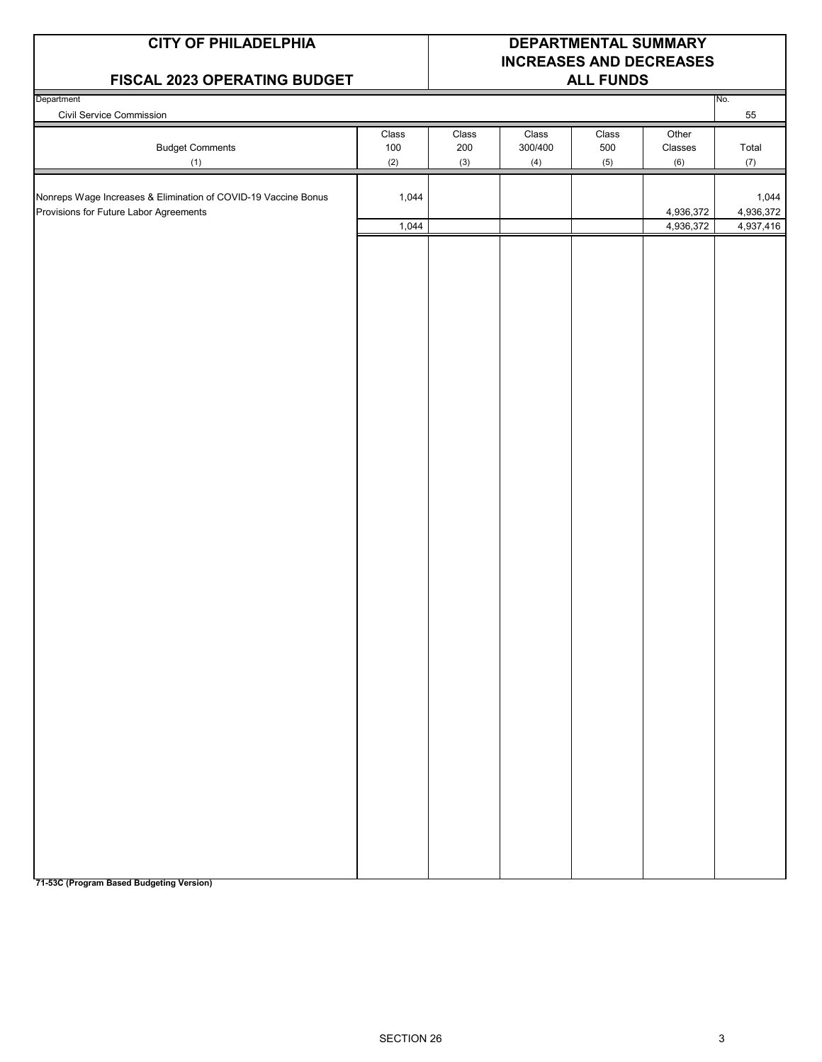#### **CITY OF PHILADELPHIA DEPARTMENTAL SUMMARY**

#### **FISCAL 2023 OPERATING BUDGET**

# **INCREASES AND DECREASES**

| Civil Service Commission<br>55<br>Class<br>Class<br>Class<br>Class<br>Other<br><b>Budget Comments</b><br>500<br>Total<br>100<br>200<br>300/400<br>Classes<br>(2)<br>(3)<br>(4)<br>(6)<br>(7)<br>(5)<br>(1)<br>1,044<br>Nonreps Wage Increases & Elimination of COVID-19 Vaccine Bonus<br>1,044<br>Provisions for Future Labor Agreements<br>4,936,372<br>4,936,372<br>1,044<br>4,936,372<br>4,937,416 | Department |  |  | No. |
|-------------------------------------------------------------------------------------------------------------------------------------------------------------------------------------------------------------------------------------------------------------------------------------------------------------------------------------------------------------------------------------------------------|------------|--|--|-----|
|                                                                                                                                                                                                                                                                                                                                                                                                       |            |  |  |     |
|                                                                                                                                                                                                                                                                                                                                                                                                       |            |  |  |     |
|                                                                                                                                                                                                                                                                                                                                                                                                       |            |  |  |     |
|                                                                                                                                                                                                                                                                                                                                                                                                       |            |  |  |     |
|                                                                                                                                                                                                                                                                                                                                                                                                       |            |  |  |     |
|                                                                                                                                                                                                                                                                                                                                                                                                       |            |  |  |     |
|                                                                                                                                                                                                                                                                                                                                                                                                       |            |  |  |     |
|                                                                                                                                                                                                                                                                                                                                                                                                       |            |  |  |     |
|                                                                                                                                                                                                                                                                                                                                                                                                       |            |  |  |     |
|                                                                                                                                                                                                                                                                                                                                                                                                       |            |  |  |     |
|                                                                                                                                                                                                                                                                                                                                                                                                       |            |  |  |     |
|                                                                                                                                                                                                                                                                                                                                                                                                       |            |  |  |     |
|                                                                                                                                                                                                                                                                                                                                                                                                       |            |  |  |     |
|                                                                                                                                                                                                                                                                                                                                                                                                       |            |  |  |     |
|                                                                                                                                                                                                                                                                                                                                                                                                       |            |  |  |     |
|                                                                                                                                                                                                                                                                                                                                                                                                       |            |  |  |     |
|                                                                                                                                                                                                                                                                                                                                                                                                       |            |  |  |     |
|                                                                                                                                                                                                                                                                                                                                                                                                       |            |  |  |     |
|                                                                                                                                                                                                                                                                                                                                                                                                       |            |  |  |     |
|                                                                                                                                                                                                                                                                                                                                                                                                       |            |  |  |     |
|                                                                                                                                                                                                                                                                                                                                                                                                       |            |  |  |     |
|                                                                                                                                                                                                                                                                                                                                                                                                       |            |  |  |     |
|                                                                                                                                                                                                                                                                                                                                                                                                       |            |  |  |     |
|                                                                                                                                                                                                                                                                                                                                                                                                       |            |  |  |     |
|                                                                                                                                                                                                                                                                                                                                                                                                       |            |  |  |     |
|                                                                                                                                                                                                                                                                                                                                                                                                       |            |  |  |     |
|                                                                                                                                                                                                                                                                                                                                                                                                       |            |  |  |     |
|                                                                                                                                                                                                                                                                                                                                                                                                       |            |  |  |     |
|                                                                                                                                                                                                                                                                                                                                                                                                       |            |  |  |     |
|                                                                                                                                                                                                                                                                                                                                                                                                       |            |  |  |     |
|                                                                                                                                                                                                                                                                                                                                                                                                       |            |  |  |     |
|                                                                                                                                                                                                                                                                                                                                                                                                       |            |  |  |     |
|                                                                                                                                                                                                                                                                                                                                                                                                       |            |  |  |     |
|                                                                                                                                                                                                                                                                                                                                                                                                       |            |  |  |     |
|                                                                                                                                                                                                                                                                                                                                                                                                       |            |  |  |     |
|                                                                                                                                                                                                                                                                                                                                                                                                       |            |  |  |     |
|                                                                                                                                                                                                                                                                                                                                                                                                       |            |  |  |     |
|                                                                                                                                                                                                                                                                                                                                                                                                       |            |  |  |     |
|                                                                                                                                                                                                                                                                                                                                                                                                       |            |  |  |     |
|                                                                                                                                                                                                                                                                                                                                                                                                       |            |  |  |     |
|                                                                                                                                                                                                                                                                                                                                                                                                       |            |  |  |     |
|                                                                                                                                                                                                                                                                                                                                                                                                       |            |  |  |     |
|                                                                                                                                                                                                                                                                                                                                                                                                       |            |  |  |     |
|                                                                                                                                                                                                                                                                                                                                                                                                       |            |  |  |     |
|                                                                                                                                                                                                                                                                                                                                                                                                       |            |  |  |     |
|                                                                                                                                                                                                                                                                                                                                                                                                       |            |  |  |     |
|                                                                                                                                                                                                                                                                                                                                                                                                       |            |  |  |     |
|                                                                                                                                                                                                                                                                                                                                                                                                       |            |  |  |     |
|                                                                                                                                                                                                                                                                                                                                                                                                       |            |  |  |     |
|                                                                                                                                                                                                                                                                                                                                                                                                       |            |  |  |     |
|                                                                                                                                                                                                                                                                                                                                                                                                       |            |  |  |     |
|                                                                                                                                                                                                                                                                                                                                                                                                       |            |  |  |     |
|                                                                                                                                                                                                                                                                                                                                                                                                       |            |  |  |     |
|                                                                                                                                                                                                                                                                                                                                                                                                       |            |  |  |     |
|                                                                                                                                                                                                                                                                                                                                                                                                       |            |  |  |     |

**71-53C (Program Based Budgeting Version)**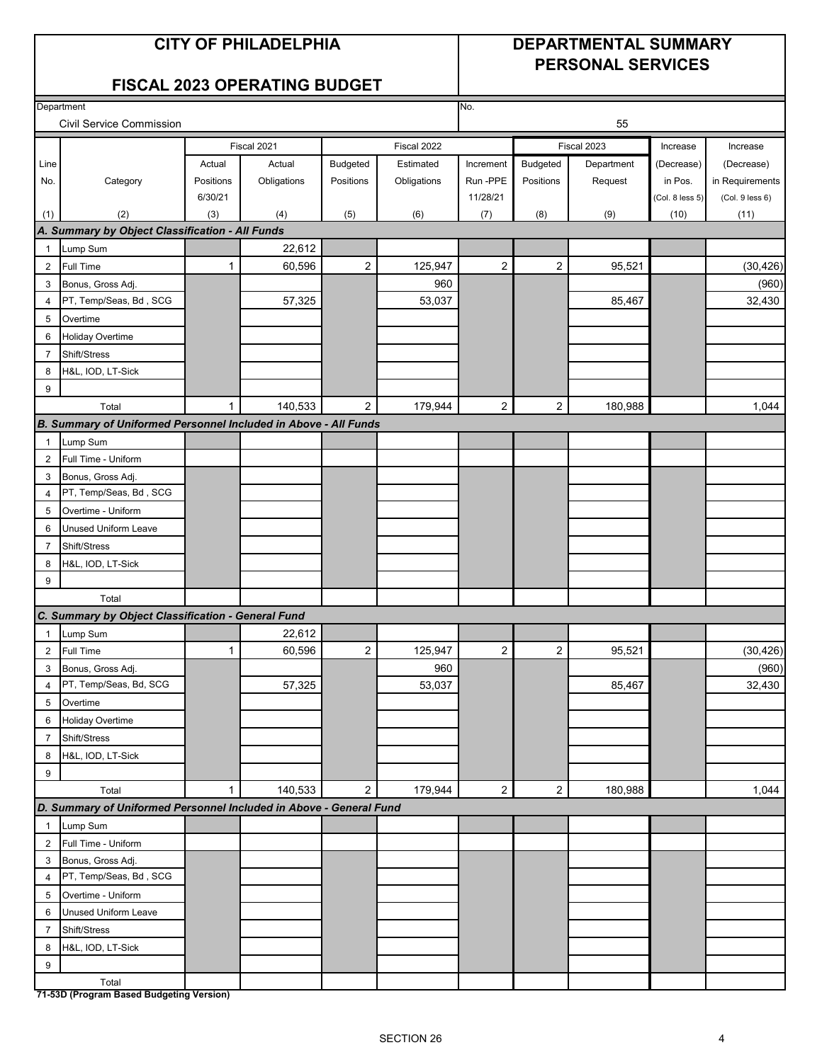#### **CITY OF PHILADELPHIA DEPARTMENTAL SUMMARY PERSONAL SERVICES**

#### **FISCAL 2023 OPERATING BUDGET**

|                | Department                                                         |              | No.         |                |             |                         |                         |            |                 |                 |
|----------------|--------------------------------------------------------------------|--------------|-------------|----------------|-------------|-------------------------|-------------------------|------------|-----------------|-----------------|
|                | <b>Civil Service Commission</b>                                    |              |             |                |             | 55                      |                         |            |                 |                 |
|                |                                                                    |              | Fiscal 2021 |                | Fiscal 2022 | Fiscal 2023             |                         |            | Increase        | Increase        |
| Line           |                                                                    | Actual       | Actual      | Budgeted       | Estimated   | Increment               | Budgeted                | Department | (Decrease)      | (Decrease)      |
| No.            | Category                                                           | Positions    | Obligations | Positions      | Obligations | Run-PPE                 | Positions               | Request    | in Pos.         | in Requirements |
|                |                                                                    | 6/30/21      |             |                |             | 11/28/21                |                         |            | (Col. 8 less 5) | (Col. 9 less 6) |
| (1)            | (2)                                                                | (3)          | (4)         | (5)            | (6)         | (7)                     | (8)                     | (9)        | (10)            | (11)            |
|                | A. Summary by Object Classification - All Funds                    |              |             |                |             |                         |                         |            |                 |                 |
| $\mathbf{1}$   | Lump Sum                                                           |              | 22,612      |                |             |                         |                         |            |                 |                 |
| $\overline{2}$ | <b>Full Time</b>                                                   | $\mathbf{1}$ | 60,596      | 2              | 125,947     | $\overline{c}$          | $\overline{2}$          | 95,521     |                 | (30, 426)       |
| 3              | Bonus, Gross Adj.                                                  |              |             |                | 960         |                         |                         |            |                 | (960)           |
| 4              | PT, Temp/Seas, Bd, SCG                                             |              | 57,325      |                | 53,037      |                         |                         | 85,467     |                 | 32,430          |
| 5              | Overtime                                                           |              |             |                |             |                         |                         |            |                 |                 |
| 6              | Holiday Overtime                                                   |              |             |                |             |                         |                         |            |                 |                 |
| $\overline{7}$ | Shift/Stress                                                       |              |             |                |             |                         |                         |            |                 |                 |
| 8              | H&L, IOD, LT-Sick                                                  |              |             |                |             |                         |                         |            |                 |                 |
| 9              |                                                                    |              |             |                |             |                         |                         |            |                 |                 |
|                | Total                                                              | $\mathbf{1}$ | 140,533     | 2              | 179,944     | $\overline{2}$          | $\overline{2}$          | 180,988    |                 | 1,044           |
|                | B. Summary of Uniformed Personnel Included in Above - All Funds    |              |             |                |             |                         |                         |            |                 |                 |
| $\mathbf{1}$   | Lump Sum                                                           |              |             |                |             |                         |                         |            |                 |                 |
| $\overline{2}$ | Full Time - Uniform                                                |              |             |                |             |                         |                         |            |                 |                 |
| 3              | Bonus, Gross Adj.                                                  |              |             |                |             |                         |                         |            |                 |                 |
| 4              | PT, Temp/Seas, Bd, SCG                                             |              |             |                |             |                         |                         |            |                 |                 |
| 5              | Overtime - Uniform                                                 |              |             |                |             |                         |                         |            |                 |                 |
| 6              | Unused Uniform Leave                                               |              |             |                |             |                         |                         |            |                 |                 |
| $\overline{7}$ | Shift/Stress                                                       |              |             |                |             |                         |                         |            |                 |                 |
| 8              | H&L, IOD, LT-Sick                                                  |              |             |                |             |                         |                         |            |                 |                 |
| 9              |                                                                    |              |             |                |             |                         |                         |            |                 |                 |
|                | Total                                                              |              |             |                |             |                         |                         |            |                 |                 |
|                | C. Summary by Object Classification - General Fund                 |              |             |                |             |                         |                         |            |                 |                 |
| 1              | Lump Sum                                                           |              | 22,612      |                |             |                         |                         |            |                 |                 |
| 2              | <b>Full Time</b>                                                   | 1            | 60,596      | $\overline{2}$ | 125,947     | $\overline{\mathbf{c}}$ | $\overline{\mathbf{c}}$ | 95,521     |                 | (30, 426)       |
| 3              | Bonus, Gross Adj.                                                  |              |             |                | 960         |                         |                         |            |                 | (960)           |
| 4              | PT, Temp/Seas, Bd, SCG                                             |              | 57,325      |                | 53,037      |                         |                         | 85,467     |                 | 32,430          |
| 5 <sub>5</sub> | Overtime                                                           |              |             |                |             |                         |                         |            |                 |                 |
|                | 6 Holiday Overtime                                                 |              |             |                |             |                         |                         |            |                 |                 |
| $\overline{7}$ | Shift/Stress                                                       |              |             |                |             |                         |                         |            |                 |                 |
| 8              | H&L, IOD, LT-Sick                                                  |              |             |                |             |                         |                         |            |                 |                 |
| 9              |                                                                    |              |             |                |             |                         |                         |            |                 |                 |
|                | Total                                                              | $\mathbf{1}$ | 140,533     | $\overline{2}$ | 179,944     | $\overline{2}$          | $\overline{2}$          | 180,988    |                 | 1,044           |
|                | D. Summary of Uniformed Personnel Included in Above - General Fund |              |             |                |             |                         |                         |            |                 |                 |
| $\mathbf{1}$   | Lump Sum                                                           |              |             |                |             |                         |                         |            |                 |                 |
| $\overline{2}$ | Full Time - Uniform                                                |              |             |                |             |                         |                         |            |                 |                 |
| 3              | Bonus, Gross Adj.                                                  |              |             |                |             |                         |                         |            |                 |                 |
| 4              | PT, Temp/Seas, Bd, SCG                                             |              |             |                |             |                         |                         |            |                 |                 |
| 5              | Overtime - Uniform                                                 |              |             |                |             |                         |                         |            |                 |                 |
| 6              | <b>Unused Uniform Leave</b>                                        |              |             |                |             |                         |                         |            |                 |                 |
| $\overline{7}$ | Shift/Stress                                                       |              |             |                |             |                         |                         |            |                 |                 |
| 8              | H&L, IOD, LT-Sick                                                  |              |             |                |             |                         |                         |            |                 |                 |
| 9              |                                                                    |              |             |                |             |                         |                         |            |                 |                 |
|                | Total<br>71-53D (Program Based Budgeting Version)                  |              |             |                |             |                         |                         |            |                 |                 |

 $\overline{\mathbf{w}}$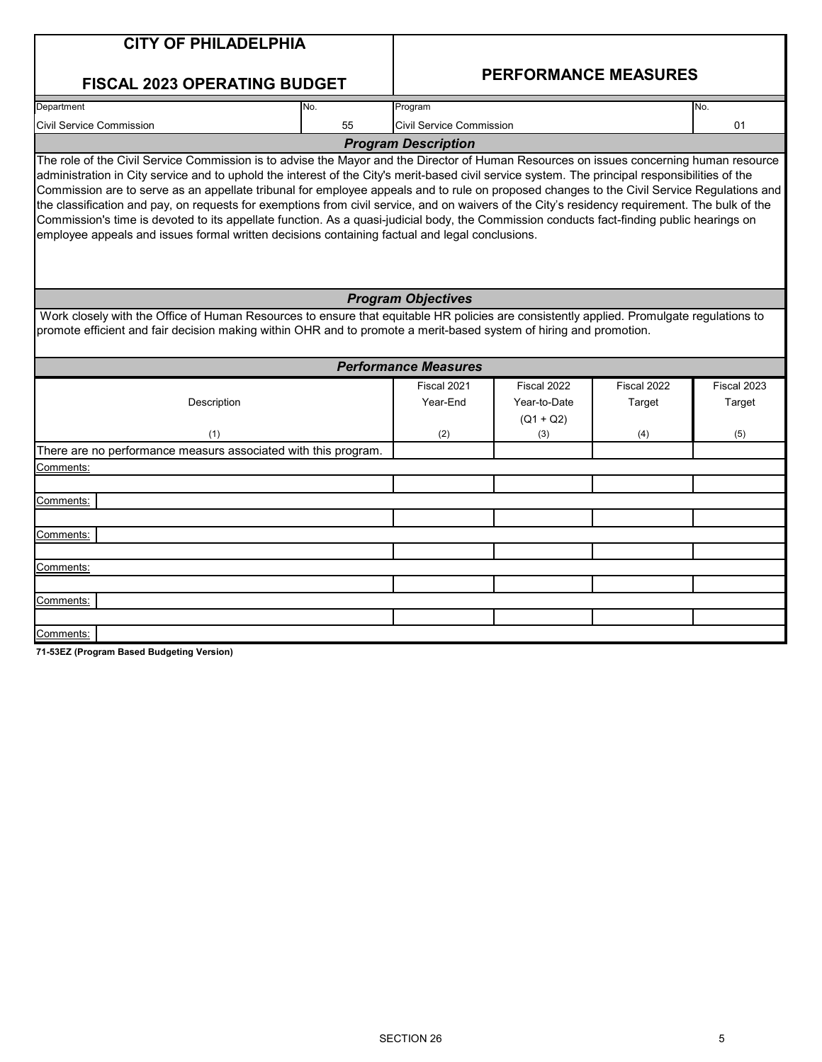| <b>CITY OF PHILADELPHIA</b>                                                                                                                                                                                                                                                                                                                                                                                                                                                                                                                                                                                                                                                                                                                                                                                                               |                                                                                                                                                                                                                                                                |                                 |                                            |                       |                       |  |  |  |  |  |  |
|-------------------------------------------------------------------------------------------------------------------------------------------------------------------------------------------------------------------------------------------------------------------------------------------------------------------------------------------------------------------------------------------------------------------------------------------------------------------------------------------------------------------------------------------------------------------------------------------------------------------------------------------------------------------------------------------------------------------------------------------------------------------------------------------------------------------------------------------|----------------------------------------------------------------------------------------------------------------------------------------------------------------------------------------------------------------------------------------------------------------|---------------------------------|--------------------------------------------|-----------------------|-----------------------|--|--|--|--|--|--|
| <b>FISCAL 2023 OPERATING BUDGET</b>                                                                                                                                                                                                                                                                                                                                                                                                                                                                                                                                                                                                                                                                                                                                                                                                       |                                                                                                                                                                                                                                                                |                                 | <b>PERFORMANCE MEASURES</b>                |                       |                       |  |  |  |  |  |  |
| Department                                                                                                                                                                                                                                                                                                                                                                                                                                                                                                                                                                                                                                                                                                                                                                                                                                | No.                                                                                                                                                                                                                                                            | Program                         |                                            |                       | No.                   |  |  |  |  |  |  |
| <b>Civil Service Commission</b>                                                                                                                                                                                                                                                                                                                                                                                                                                                                                                                                                                                                                                                                                                                                                                                                           | 55                                                                                                                                                                                                                                                             | <b>Civil Service Commission</b> |                                            |                       | 01                    |  |  |  |  |  |  |
|                                                                                                                                                                                                                                                                                                                                                                                                                                                                                                                                                                                                                                                                                                                                                                                                                                           |                                                                                                                                                                                                                                                                | <b>Program Description</b>      |                                            |                       |                       |  |  |  |  |  |  |
| The role of the Civil Service Commission is to advise the Mayor and the Director of Human Resources on issues concerning human resource<br>administration in City service and to uphold the interest of the City's merit-based civil service system. The principal responsibilities of the<br>Commission are to serve as an appellate tribunal for employee appeals and to rule on proposed changes to the Civil Service Regulations and<br>the classification and pay, on requests for exemptions from civil service, and on waivers of the City's residency requirement. The bulk of the<br>Commission's time is devoted to its appellate function. As a quasi-judicial body, the Commission conducts fact-finding public hearings on<br>employee appeals and issues formal written decisions containing factual and legal conclusions. |                                                                                                                                                                                                                                                                |                                 |                                            |                       |                       |  |  |  |  |  |  |
| <b>Program Objectives</b>                                                                                                                                                                                                                                                                                                                                                                                                                                                                                                                                                                                                                                                                                                                                                                                                                 |                                                                                                                                                                                                                                                                |                                 |                                            |                       |                       |  |  |  |  |  |  |
|                                                                                                                                                                                                                                                                                                                                                                                                                                                                                                                                                                                                                                                                                                                                                                                                                                           | Work closely with the Office of Human Resources to ensure that equitable HR policies are consistently applied. Promulgate regulations to<br>promote efficient and fair decision making within OHR and to promote a merit-based system of hiring and promotion. |                                 |                                            |                       |                       |  |  |  |  |  |  |
|                                                                                                                                                                                                                                                                                                                                                                                                                                                                                                                                                                                                                                                                                                                                                                                                                                           |                                                                                                                                                                                                                                                                | <b>Performance Measures</b>     |                                            |                       |                       |  |  |  |  |  |  |
| Description                                                                                                                                                                                                                                                                                                                                                                                                                                                                                                                                                                                                                                                                                                                                                                                                                               |                                                                                                                                                                                                                                                                | Fiscal 2021<br>Year-End         | Fiscal 2022<br>Year-to-Date<br>$(Q1 + Q2)$ | Fiscal 2022<br>Target | Fiscal 2023<br>Target |  |  |  |  |  |  |
| (1)                                                                                                                                                                                                                                                                                                                                                                                                                                                                                                                                                                                                                                                                                                                                                                                                                                       |                                                                                                                                                                                                                                                                | (2)                             | (3)                                        | (4)                   | (5)                   |  |  |  |  |  |  |
| There are no performance measurs associated with this program.                                                                                                                                                                                                                                                                                                                                                                                                                                                                                                                                                                                                                                                                                                                                                                            |                                                                                                                                                                                                                                                                |                                 |                                            |                       |                       |  |  |  |  |  |  |
| Comments:                                                                                                                                                                                                                                                                                                                                                                                                                                                                                                                                                                                                                                                                                                                                                                                                                                 |                                                                                                                                                                                                                                                                |                                 |                                            |                       |                       |  |  |  |  |  |  |
|                                                                                                                                                                                                                                                                                                                                                                                                                                                                                                                                                                                                                                                                                                                                                                                                                                           |                                                                                                                                                                                                                                                                |                                 |                                            |                       |                       |  |  |  |  |  |  |
| Comments:                                                                                                                                                                                                                                                                                                                                                                                                                                                                                                                                                                                                                                                                                                                                                                                                                                 |                                                                                                                                                                                                                                                                |                                 |                                            |                       |                       |  |  |  |  |  |  |
|                                                                                                                                                                                                                                                                                                                                                                                                                                                                                                                                                                                                                                                                                                                                                                                                                                           |                                                                                                                                                                                                                                                                |                                 |                                            |                       |                       |  |  |  |  |  |  |
| Comments:                                                                                                                                                                                                                                                                                                                                                                                                                                                                                                                                                                                                                                                                                                                                                                                                                                 |                                                                                                                                                                                                                                                                |                                 |                                            |                       |                       |  |  |  |  |  |  |
|                                                                                                                                                                                                                                                                                                                                                                                                                                                                                                                                                                                                                                                                                                                                                                                                                                           |                                                                                                                                                                                                                                                                |                                 |                                            |                       |                       |  |  |  |  |  |  |
| <u> Comments:</u>                                                                                                                                                                                                                                                                                                                                                                                                                                                                                                                                                                                                                                                                                                                                                                                                                         |                                                                                                                                                                                                                                                                |                                 |                                            |                       |                       |  |  |  |  |  |  |
|                                                                                                                                                                                                                                                                                                                                                                                                                                                                                                                                                                                                                                                                                                                                                                                                                                           |                                                                                                                                                                                                                                                                |                                 |                                            |                       |                       |  |  |  |  |  |  |
| Comments:                                                                                                                                                                                                                                                                                                                                                                                                                                                                                                                                                                                                                                                                                                                                                                                                                                 |                                                                                                                                                                                                                                                                |                                 |                                            |                       |                       |  |  |  |  |  |  |
|                                                                                                                                                                                                                                                                                                                                                                                                                                                                                                                                                                                                                                                                                                                                                                                                                                           |                                                                                                                                                                                                                                                                |                                 |                                            |                       |                       |  |  |  |  |  |  |
| Comments:                                                                                                                                                                                                                                                                                                                                                                                                                                                                                                                                                                                                                                                                                                                                                                                                                                 |                                                                                                                                                                                                                                                                |                                 |                                            |                       |                       |  |  |  |  |  |  |
| 71-53EZ (Program Based Budgeting Version)                                                                                                                                                                                                                                                                                                                                                                                                                                                                                                                                                                                                                                                                                                                                                                                                 |                                                                                                                                                                                                                                                                |                                 |                                            |                       |                       |  |  |  |  |  |  |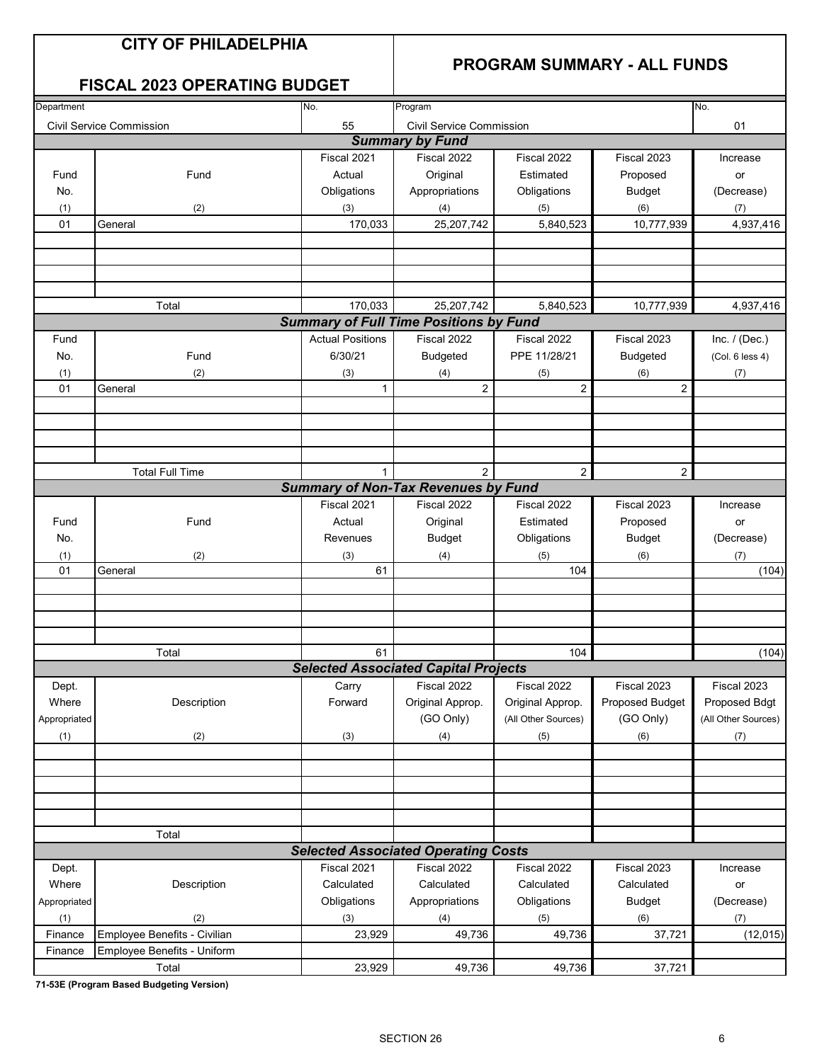#### **PROGRAM SUMMARY - ALL FUNDS**

#### **FISCAL 2023 OPERATING BUDGET**

| Department   |                              | No.<br>Program          | No.                                           |                     |                        |                     |
|--------------|------------------------------|-------------------------|-----------------------------------------------|---------------------|------------------------|---------------------|
|              | Civil Service Commission     | 55                      | <b>Civil Service Commission</b>               |                     |                        | 01                  |
|              |                              |                         | <b>Summary by Fund</b>                        |                     |                        |                     |
|              |                              | Fiscal 2021             | Fiscal 2022                                   | Fiscal 2022         | Fiscal 2023            | Increase            |
| Fund         | Fund                         | Actual                  | Original                                      | Estimated           | Proposed               | or                  |
| No.          |                              | Obligations             | Appropriations                                | Obligations         | <b>Budget</b>          | (Decrease)          |
| (1)          | (2)                          | (3)                     | (4)                                           | (5)                 | (6)                    | (7)                 |
| 01           | General                      | 170,033                 | 25,207,742                                    | 5,840,523           | 10,777,939             | 4,937,416           |
|              |                              |                         |                                               |                     |                        |                     |
|              |                              |                         |                                               |                     |                        |                     |
|              |                              |                         |                                               |                     |                        |                     |
|              |                              |                         |                                               |                     |                        |                     |
| Total        |                              | 170,033                 | 25,207,742                                    | 5,840,523           | 10,777,939             | 4,937,416           |
|              |                              |                         | <b>Summary of Full Time Positions by Fund</b> |                     |                        |                     |
| Fund         |                              | <b>Actual Positions</b> | Fiscal 2022                                   | Fiscal 2022         | Fiscal 2023            | Inc. $/$ (Dec.)     |
| No.          | Fund                         | 6/30/21                 | <b>Budgeted</b>                               | PPE 11/28/21        | <b>Budgeted</b>        | (Col. 6 less 4)     |
| (1)          | (2)                          | (3)                     | (4)                                           | (5)                 | (6)                    | (7)                 |
| 01           | General                      | 1                       | $\boldsymbol{2}$                              | $\overline{c}$      | 2                      |                     |
|              |                              |                         |                                               |                     |                        |                     |
|              |                              |                         |                                               |                     |                        |                     |
|              |                              |                         |                                               |                     |                        |                     |
|              |                              |                         |                                               |                     |                        |                     |
|              | <b>Total Full Time</b>       | $\mathbf{1}$            | $\mathfrak{p}$                                | $\mathbf{2}$        | $\overline{2}$         |                     |
|              |                              |                         | <b>Summary of Non-Tax Revenues by Fund</b>    |                     |                        |                     |
|              |                              | Fiscal 2021             | Fiscal 2022                                   | Fiscal 2022         | Fiscal 2023            | Increase            |
| Fund         | Fund                         | Actual                  | Original                                      | Estimated           | Proposed               | or                  |
| No.          |                              | Revenues                | <b>Budget</b>                                 | Obligations         | <b>Budget</b>          | (Decrease)          |
|              |                              |                         |                                               |                     |                        |                     |
| (1)<br>01    | (2)<br>General               | (3)<br>61               | (4)                                           | (5)<br>104          | (6)                    | (7)<br>(104)        |
|              |                              |                         |                                               |                     |                        |                     |
|              |                              |                         |                                               |                     |                        |                     |
|              |                              |                         |                                               |                     |                        |                     |
|              |                              |                         |                                               |                     |                        |                     |
|              | Total                        | 61                      |                                               | 104                 |                        | (104)               |
|              |                              |                         | <b>Selected Associated Capital Projects</b>   |                     |                        |                     |
| Dept.        |                              | Carry                   | Fiscal 2022                                   | Fiscal 2022         | Fiscal 2023            | Fiscal 2023         |
| Where        | Description                  | Forward                 | Original Approp.                              | Original Approp.    | <b>Proposed Budget</b> | Proposed Bdgt       |
| Appropriated |                              |                         | (GO Only)                                     | (All Other Sources) | (GO Only)              | (All Other Sources) |
|              |                              |                         |                                               |                     |                        |                     |
| (1)          | (2)                          | (3)                     | (4)                                           | (5)                 | (6)                    | (7)                 |
|              |                              |                         |                                               |                     |                        |                     |
|              |                              |                         |                                               |                     |                        |                     |
|              |                              |                         |                                               |                     |                        |                     |
|              |                              |                         |                                               |                     |                        |                     |
|              | Total                        |                         |                                               |                     |                        |                     |
|              |                              |                         | <b>Selected Associated Operating Costs</b>    |                     |                        |                     |
|              |                              | Fiscal 2021             | Fiscal 2022                                   |                     |                        |                     |
| Dept.        |                              |                         |                                               | Fiscal 2022         | Fiscal 2023            | Increase            |
| Where        | Description                  | Calculated              | Calculated                                    | Calculated          | Calculated             | or                  |
| Appropriated |                              | Obligations             | Appropriations                                | Obligations         | <b>Budget</b>          | (Decrease)          |
| (1)          | (2)                          | (3)                     | (4)                                           | (5)                 | (6)                    | (7)                 |
| Finance      | Employee Benefits - Civilian | 23,929                  | 49,736                                        | 49,736              | 37,721                 | (12, 015)           |
| Finance      | Employee Benefits - Uniform  |                         |                                               |                     |                        |                     |
|              | Total                        | 23,929                  | 49,736                                        | 49,736              | 37,721                 |                     |

**71-53E (Program Based Budgeting Version)**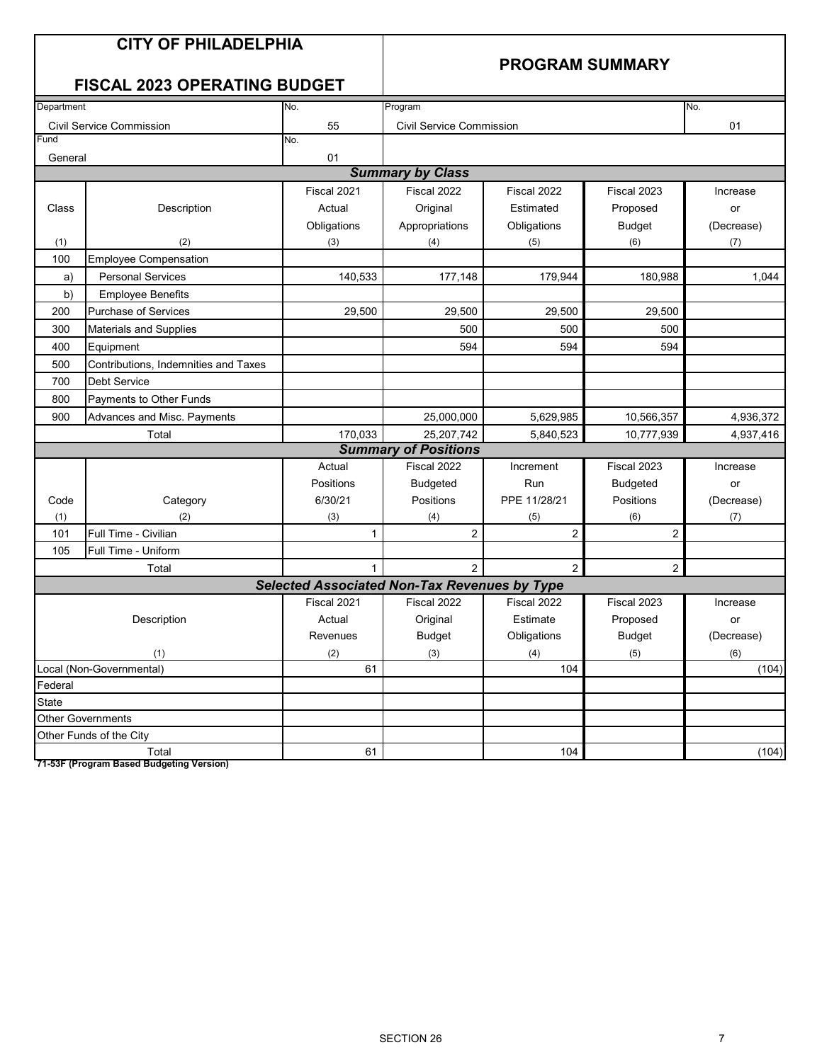#### **PROGRAM SUMMARY**

### **FISCAL 2023 OPERATING BUDGET**

| Department |                                      | No.                                                 | Program                         |                |                 | No.        |
|------------|--------------------------------------|-----------------------------------------------------|---------------------------------|----------------|-----------------|------------|
|            | <b>Civil Service Commission</b>      | 55                                                  | <b>Civil Service Commission</b> |                |                 | 01         |
| Fund       |                                      | No.                                                 |                                 |                |                 |            |
| General    |                                      | 01                                                  |                                 |                |                 |            |
|            |                                      |                                                     | <b>Summary by Class</b>         |                |                 |            |
|            |                                      | Fiscal 2021                                         | Fiscal 2022                     | Fiscal 2022    | Fiscal 2023     | Increase   |
| Class      | Description                          | Actual                                              | Original                        | Estimated      | Proposed        | or         |
|            |                                      | Obligations                                         | Appropriations                  | Obligations    | <b>Budget</b>   | (Decrease) |
| (1)        | (2)                                  | (3)                                                 | (4)                             | (5)            | (6)             | (7)        |
| 100        | <b>Employee Compensation</b>         |                                                     |                                 |                |                 |            |
| a)         | <b>Personal Services</b>             | 140,533                                             | 177,148                         | 179,944        | 180,988         | 1,044      |
| b)         | <b>Employee Benefits</b>             |                                                     |                                 |                |                 |            |
| 200        | <b>Purchase of Services</b>          | 29,500                                              | 29,500                          | 29,500         | 29,500          |            |
| 300        | <b>Materials and Supplies</b>        |                                                     | 500                             | 500            | 500             |            |
| 400        | Equipment                            |                                                     | 594                             | 594            | 594             |            |
| 500        | Contributions, Indemnities and Taxes |                                                     |                                 |                |                 |            |
| 700        | <b>Debt Service</b>                  |                                                     |                                 |                |                 |            |
| 800        | Payments to Other Funds              |                                                     |                                 |                |                 |            |
| 900        | Advances and Misc. Payments          |                                                     | 25,000,000                      | 5,629,985      | 10,566,357      | 4,936,372  |
|            | Total                                | 170,033                                             | 25,207,742                      | 5,840,523      | 10,777,939      | 4,937,416  |
|            |                                      |                                                     | <b>Summary of Positions</b>     |                |                 |            |
|            |                                      | Actual                                              | Fiscal 2022                     | Increment      | Fiscal 2023     | Increase   |
|            |                                      | Positions                                           | <b>Budgeted</b>                 | Run            | <b>Budgeted</b> | or         |
| Code       | Category                             | 6/30/21                                             | Positions                       | PPE 11/28/21   | Positions       | (Decrease) |
| (1)        | (2)                                  | (3)                                                 | (4)                             | (5)            | (6)             | (7)        |
| 101        | Full Time - Civilian                 | $\mathbf{1}$                                        | $\overline{2}$                  | $\overline{2}$ | 2               |            |
| 105        | Full Time - Uniform                  |                                                     |                                 |                |                 |            |
|            | Total                                | $\mathbf{1}$                                        | $\overline{2}$                  | $\overline{2}$ | $\overline{a}$  |            |
|            |                                      | <b>Selected Associated Non-Tax Revenues by Type</b> |                                 |                |                 |            |
|            |                                      | Fiscal 2021                                         | Fiscal 2022                     | Fiscal 2022    | Fiscal 2023     | Increase   |
|            | Description                          | Actual                                              | Original                        | Estimate       | Proposed        | or         |
|            |                                      | Revenues                                            | <b>Budget</b>                   | Obligations    | <b>Budget</b>   | (Decrease) |
|            | (1)                                  | (2)                                                 | (3)                             | (4)            | (5)             | (6)        |
|            | Local (Non-Governmental)             | 61                                                  |                                 | 104            |                 | (104)      |
| Federal    |                                      |                                                     |                                 |                |                 |            |
| State      |                                      |                                                     |                                 |                |                 |            |
|            | <b>Other Governments</b>             |                                                     |                                 |                |                 |            |
|            | Other Funds of the City              |                                                     |                                 |                |                 |            |
|            | Total                                | 61                                                  |                                 | 104            |                 | (104)      |

**71-53F (Program Based Budgeting Version)**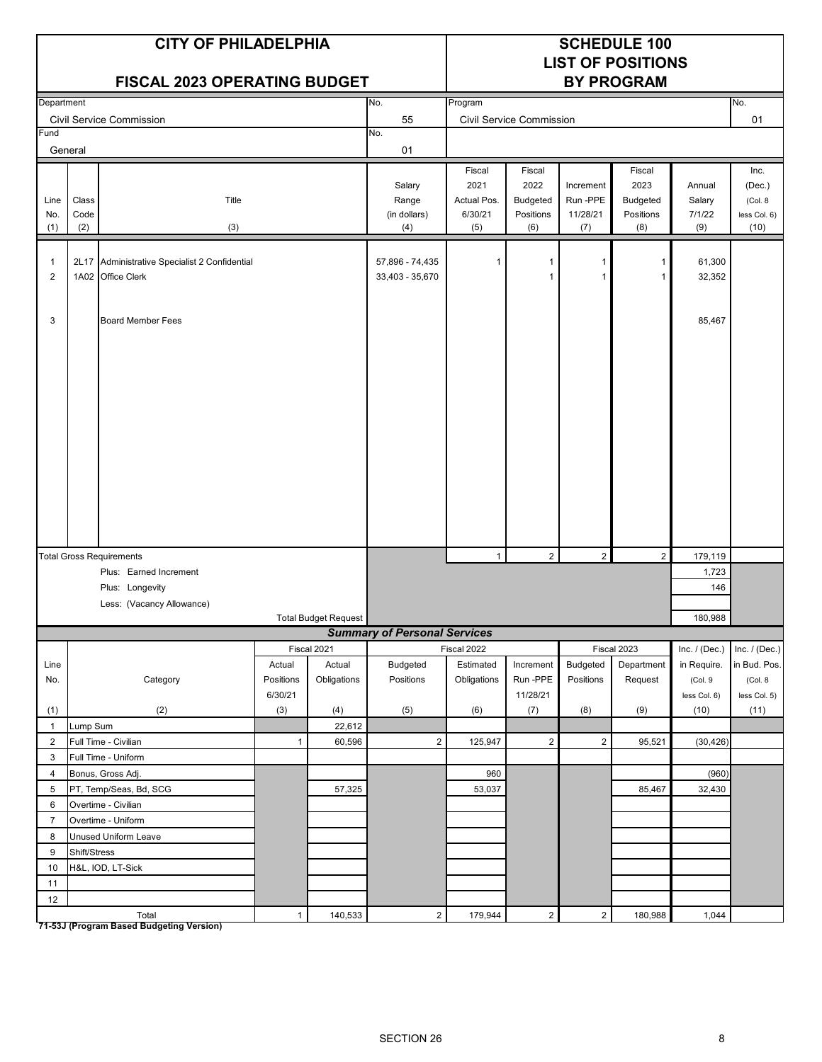|                     |                      | <b>CITY OF PHILADELPHIA</b><br><b>FISCAL 2023 OPERATING BUDGET</b> |                | <b>SCHEDULE 100</b><br><b>LIST OF POSITIONS</b><br><b>BY PROGRAM</b> |                                        |                                                 |                                                       |                                          |                                                |                                   |                                                    |
|---------------------|----------------------|--------------------------------------------------------------------|----------------|----------------------------------------------------------------------|----------------------------------------|-------------------------------------------------|-------------------------------------------------------|------------------------------------------|------------------------------------------------|-----------------------------------|----------------------------------------------------|
| Department          |                      |                                                                    |                |                                                                      | No.                                    | Program                                         |                                                       |                                          |                                                |                                   | No.                                                |
| Fund                |                      | <b>Civil Service Commission</b>                                    |                |                                                                      | 55                                     |                                                 | <b>Civil Service Commission</b>                       |                                          |                                                |                                   | 01                                                 |
|                     | General              |                                                                    |                |                                                                      | No.<br>01                              |                                                 |                                                       |                                          |                                                |                                   |                                                    |
| Line<br>No.<br>(1)  | Class<br>Code<br>(2) | Title<br>(3)                                                       |                |                                                                      | Salary<br>Range<br>(in dollars)<br>(4) | Fiscal<br>2021<br>Actual Pos.<br>6/30/21<br>(5) | Fiscal<br>2022<br><b>Budgeted</b><br>Positions<br>(6) | Increment<br>Run -PPE<br>11/28/21<br>(7) | Fiscal<br>2023<br>Budgeted<br>Positions<br>(8) | Annual<br>Salary<br>7/1/22<br>(9) | Inc.<br>(Dec.)<br>(Col. 8)<br>less Col. 6)<br>(10) |
| 1<br>$\overline{2}$ |                      | 2L17 Administrative Specialist 2 Confidential<br>1A02 Office Clerk |                |                                                                      | 57,896 - 74,435<br>33,403 - 35,670     | 1                                               | 1<br>1                                                | -1<br>$\overline{1}$                     | 1<br>$\mathbf{1}$                              | 61,300<br>32,352                  |                                                    |
| 3                   |                      | <b>Board Member Fees</b>                                           |                |                                                                      |                                        |                                                 |                                                       |                                          |                                                | 85,467                            |                                                    |
|                     |                      | <b>Total Gross Requirements</b>                                    |                |                                                                      |                                        | $\mathbf{1}$                                    | $\overline{2}$                                        | $\overline{2}$                           | $\overline{2}$                                 | 179,119                           |                                                    |
|                     |                      | Plus: Earned Increment                                             |                |                                                                      |                                        |                                                 |                                                       |                                          |                                                | 1,723                             |                                                    |
|                     |                      | Plus: Longevity                                                    |                |                                                                      |                                        |                                                 |                                                       |                                          |                                                | 146                               |                                                    |
|                     |                      | Less: (Vacancy Allowance)                                          |                |                                                                      |                                        |                                                 |                                                       |                                          |                                                |                                   |                                                    |
|                     |                      |                                                                    |                | <b>Total Budget Request</b>                                          |                                        |                                                 |                                                       |                                          |                                                | 180,988                           |                                                    |
|                     |                      |                                                                    |                | Fiscal 2021                                                          | <b>Summary of Personal Services</b>    | Fiscal 2022                                     |                                                       |                                          | Fiscal 2023                                    | Inc. $/$ (Dec.)                   | Inc. $/$ (Dec.)                                    |
| Line                |                      |                                                                    | Actual         | Actual                                                               | <b>Budgeted</b>                        | Estimated                                       | Increment                                             | <b>Budgeted</b>                          | Department                                     | in Require.                       | in Bud. Pos.                                       |
| No.                 |                      | Category                                                           | Positions      | Obligations                                                          | Positions                              | Obligations                                     | Run-PPE<br>11/28/21                                   | Positions                                | Request                                        | (Col. 9                           | (Col. 8)                                           |
| (1)                 |                      | (2)                                                                | 6/30/21<br>(3) | (4)                                                                  | (5)                                    | (6)                                             | (7)                                                   | (8)                                      | (9)                                            | less Col. 6)<br>(10)              | less Col. 5)<br>(11)                               |
| $\mathbf{1}$        | Lump Sum             |                                                                    |                | 22,612                                                               |                                        |                                                 |                                                       |                                          |                                                |                                   |                                                    |
| $\overline{2}$      |                      | Full Time - Civilian                                               | $\mathbf{1}$   | 60,596                                                               | $\overline{2}$                         | 125,947                                         | $\overline{c}$                                        | $\overline{2}$                           | 95,521                                         | (30, 426)                         |                                                    |
| 3                   |                      | Full Time - Uniform                                                |                |                                                                      |                                        |                                                 |                                                       |                                          |                                                |                                   |                                                    |
| $\overline{4}$      |                      | Bonus, Gross Adj.                                                  |                |                                                                      |                                        | 960                                             |                                                       |                                          |                                                | (960)                             |                                                    |
| 5                   |                      | PT, Temp/Seas, Bd, SCG                                             |                | 57,325                                                               |                                        | 53,037                                          |                                                       |                                          | 85,467                                         | 32,430                            |                                                    |
| 6                   |                      | Overtime - Civilian                                                |                |                                                                      |                                        |                                                 |                                                       |                                          |                                                |                                   |                                                    |
| $\overline{7}$      |                      | Overtime - Uniform                                                 |                |                                                                      |                                        |                                                 |                                                       |                                          |                                                |                                   |                                                    |
| 8                   |                      | Unused Uniform Leave                                               |                |                                                                      |                                        |                                                 |                                                       |                                          |                                                |                                   |                                                    |
| 9                   | Shift/Stress         |                                                                    |                |                                                                      |                                        |                                                 |                                                       |                                          |                                                |                                   |                                                    |
| 10<br>11            |                      | H&L, IOD, LT-Sick                                                  |                |                                                                      |                                        |                                                 |                                                       |                                          |                                                |                                   |                                                    |
| 12                  |                      |                                                                    |                |                                                                      |                                        |                                                 |                                                       |                                          |                                                |                                   |                                                    |
|                     |                      | Total                                                              | $\mathbf{1}$   | 140,533                                                              | $\overline{c}$                         | 179,944                                         | $\sqrt{2}$                                            | $\overline{2}$                           | 180,988                                        | 1,044                             |                                                    |

**71-53J (Program Based Budgeting Version)**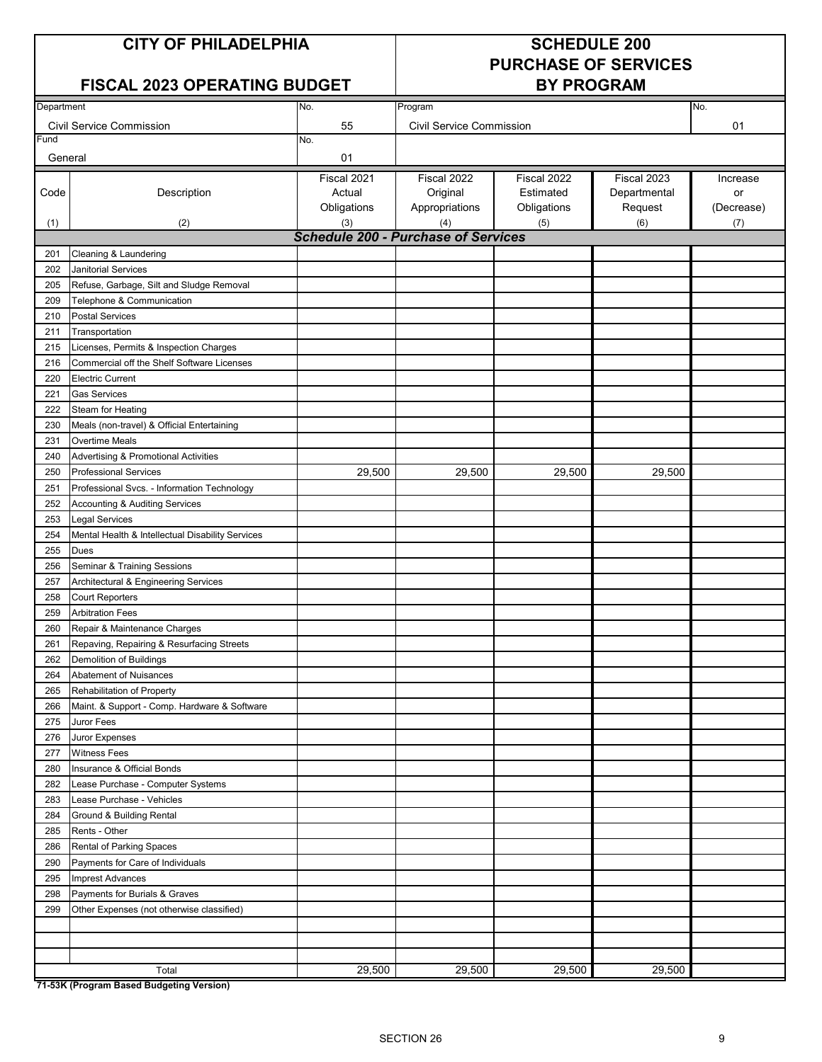#### **CITY OF PHILADELPHIA SCHEDULE 200**

#### **FISCAL 2023 OPERATING BUDGET**

# **PURCHASE OF SERVICES**

| Department |                                                  | No.                                        | Program                  |             |              | No.        |
|------------|--------------------------------------------------|--------------------------------------------|--------------------------|-------------|--------------|------------|
|            |                                                  | 55                                         |                          |             |              |            |
| Fund       | <b>Civil Service Commission</b>                  | No.                                        | Civil Service Commission |             |              | 01         |
|            |                                                  |                                            |                          |             |              |            |
| General    |                                                  | 01                                         |                          |             |              |            |
|            |                                                  | Fiscal 2021                                | Fiscal 2022              | Fiscal 2022 | Fiscal 2023  | Increase   |
| Code       | Description                                      | Actual                                     | Original                 | Estimated   | Departmental | or         |
|            |                                                  | Obligations                                | Appropriations           | Obligations | Request      | (Decrease) |
| (1)        | (2)                                              | (3)                                        | (4)                      | (5)         | (6)          | (7)        |
|            |                                                  | <b>Schedule 200 - Purchase of Services</b> |                          |             |              |            |
| 201        | Cleaning & Laundering                            |                                            |                          |             |              |            |
| 202        | <b>Janitorial Services</b>                       |                                            |                          |             |              |            |
| 205        | Refuse, Garbage, Silt and Sludge Removal         |                                            |                          |             |              |            |
| 209        | Telephone & Communication                        |                                            |                          |             |              |            |
| 210        | <b>Postal Services</b>                           |                                            |                          |             |              |            |
| 211        | Transportation                                   |                                            |                          |             |              |            |
| 215        | Licenses, Permits & Inspection Charges           |                                            |                          |             |              |            |
| 216        | Commercial off the Shelf Software Licenses       |                                            |                          |             |              |            |
| 220        | <b>Electric Current</b>                          |                                            |                          |             |              |            |
| 221        | <b>Gas Services</b>                              |                                            |                          |             |              |            |
| 222        | Steam for Heating                                |                                            |                          |             |              |            |
| 230        | Meals (non-travel) & Official Entertaining       |                                            |                          |             |              |            |
| 231        | Overtime Meals                                   |                                            |                          |             |              |            |
| 240        | Advertising & Promotional Activities             |                                            |                          |             |              |            |
| 250        | <b>Professional Services</b>                     | 29,500                                     | 29,500                   | 29,500      | 29,500       |            |
| 251        | Professional Svcs. - Information Technology      |                                            |                          |             |              |            |
| 252        | <b>Accounting &amp; Auditing Services</b>        |                                            |                          |             |              |            |
| 253        | <b>Legal Services</b>                            |                                            |                          |             |              |            |
| 254        | Mental Health & Intellectual Disability Services |                                            |                          |             |              |            |
| 255        | Dues                                             |                                            |                          |             |              |            |
| 256        | Seminar & Training Sessions                      |                                            |                          |             |              |            |
| 257        | Architectural & Engineering Services             |                                            |                          |             |              |            |
| 258        | <b>Court Reporters</b>                           |                                            |                          |             |              |            |
| 259        | <b>Arbitration Fees</b>                          |                                            |                          |             |              |            |
| 260        | Repair & Maintenance Charges                     |                                            |                          |             |              |            |
| 261        | Repaving, Repairing & Resurfacing Streets        |                                            |                          |             |              |            |
| 262        | <b>Demolition of Buildings</b>                   |                                            |                          |             |              |            |
| 264        | Abatement of Nuisances                           |                                            |                          |             |              |            |
| 265        | Rehabilitation of Property                       |                                            |                          |             |              |            |
| 266        | Maint. & Support - Comp. Hardware & Software     |                                            |                          |             |              |            |
| 275        | Juror Fees                                       |                                            |                          |             |              |            |
| 276        | Juror Expenses                                   |                                            |                          |             |              |            |
| 277        | <b>Witness Fees</b>                              |                                            |                          |             |              |            |
| 280        | Insurance & Official Bonds                       |                                            |                          |             |              |            |
| 282        | Lease Purchase - Computer Systems                |                                            |                          |             |              |            |
| 283        | Lease Purchase - Vehicles                        |                                            |                          |             |              |            |
| 284        | Ground & Building Rental                         |                                            |                          |             |              |            |
| 285        | Rents - Other                                    |                                            |                          |             |              |            |
| 286        | Rental of Parking Spaces                         |                                            |                          |             |              |            |
| 290        | Payments for Care of Individuals                 |                                            |                          |             |              |            |
| 295        | <b>Imprest Advances</b>                          |                                            |                          |             |              |            |
| 298        | Payments for Burials & Graves                    |                                            |                          |             |              |            |
| 299        | Other Expenses (not otherwise classified)        |                                            |                          |             |              |            |
|            |                                                  |                                            |                          |             |              |            |
|            |                                                  |                                            |                          |             |              |            |
|            |                                                  |                                            |                          |             |              |            |
|            | Total                                            | 29,500                                     | 29,500                   | 29,500      | 29,500       |            |

**71-53K (Program Based Budgeting Version)**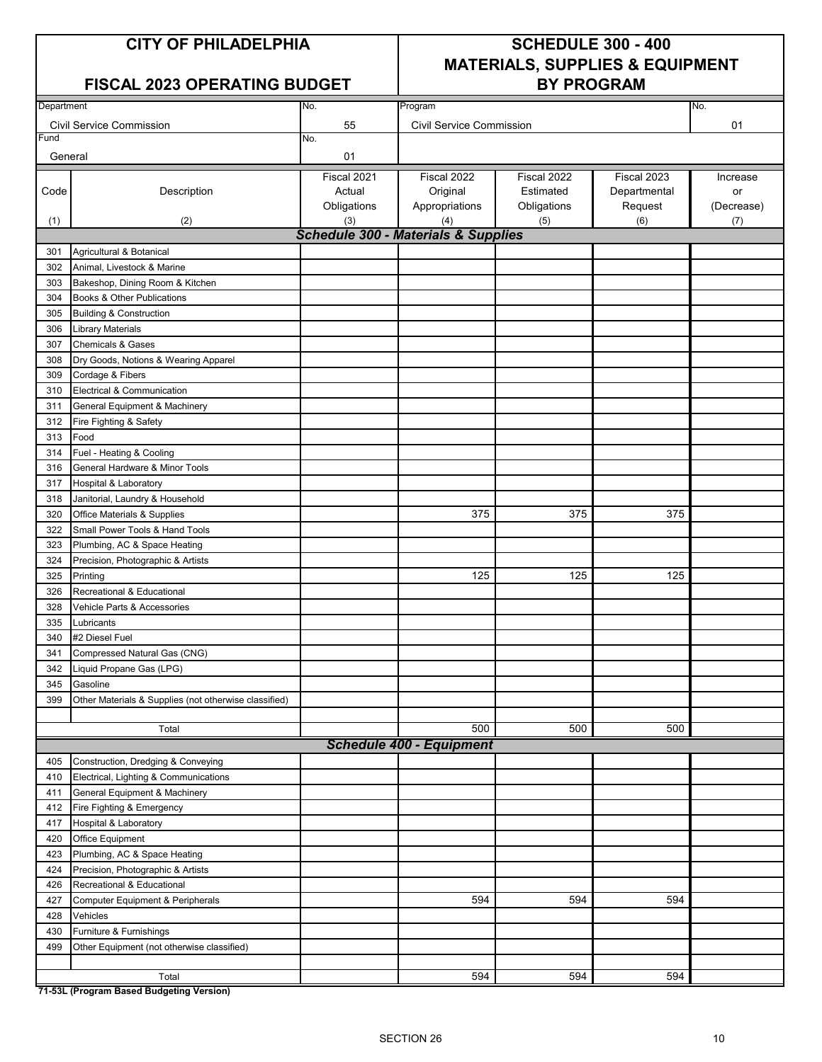#### **FISCAL 2023 OPERATING BUDGET**

## **CITY OF PHILADELPHIA SCHEDULE 300 - 400 MATERIALS, SUPPLIES & EQUIPMENT**

| Department |                                                       | No.                | No.                                            |                    |                |            |
|------------|-------------------------------------------------------|--------------------|------------------------------------------------|--------------------|----------------|------------|
|            | <b>Civil Service Commission</b>                       | 55                 | <b>Civil Service Commission</b>                |                    |                | 01         |
| =und       |                                                       | No.                |                                                |                    |                |            |
| General    |                                                       | 01                 |                                                |                    |                |            |
|            |                                                       |                    |                                                |                    |                |            |
|            |                                                       | Fiscal 2021        | Fiscal 2022                                    | Fiscal 2022        | Fiscal 2023    | Increase   |
| Code       | Description                                           | Actual             | Original                                       | Estimated          | Departmental   | or         |
|            |                                                       | Obligations<br>(3) | Appropriations<br>(4)                          | Obligations<br>(5) | Request<br>(6) | (Decrease) |
| (1)        | (2)                                                   |                    | <b>Schedule 300 - Materials &amp; Supplies</b> |                    |                | (7)        |
| 301        | Agricultural & Botanical                              |                    |                                                |                    |                |            |
| 302        | Animal, Livestock & Marine                            |                    |                                                |                    |                |            |
| 303        | Bakeshop, Dining Room & Kitchen                       |                    |                                                |                    |                |            |
| 304        | Books & Other Publications                            |                    |                                                |                    |                |            |
| 305        | <b>Building &amp; Construction</b>                    |                    |                                                |                    |                |            |
| 306        | <b>Library Materials</b>                              |                    |                                                |                    |                |            |
| 307        | <b>Chemicals &amp; Gases</b>                          |                    |                                                |                    |                |            |
| 308        | Dry Goods, Notions & Wearing Apparel                  |                    |                                                |                    |                |            |
| 309        | Cordage & Fibers                                      |                    |                                                |                    |                |            |
| 310        | Electrical & Communication                            |                    |                                                |                    |                |            |
| 311        | General Equipment & Machinery                         |                    |                                                |                    |                |            |
| 312        | Fire Fighting & Safety                                |                    |                                                |                    |                |            |
| 313        | Food                                                  |                    |                                                |                    |                |            |
| 314        | Fuel - Heating & Cooling                              |                    |                                                |                    |                |            |
| 316        | General Hardware & Minor Tools                        |                    |                                                |                    |                |            |
| 317        | Hospital & Laboratory                                 |                    |                                                |                    |                |            |
| 318        | Janitorial, Laundry & Household                       |                    |                                                |                    |                |            |
| 320        | Office Materials & Supplies                           |                    | 375                                            | 375                | 375            |            |
| 322        | Small Power Tools & Hand Tools                        |                    |                                                |                    |                |            |
| 323        | Plumbing, AC & Space Heating                          |                    |                                                |                    |                |            |
| 324        | Precision, Photographic & Artists                     |                    |                                                |                    |                |            |
| 325        | Printing                                              |                    | 125                                            | 125                | 125            |            |
| 326        | Recreational & Educational                            |                    |                                                |                    |                |            |
| 328        | Vehicle Parts & Accessories                           |                    |                                                |                    |                |            |
| 335        | Lubricants                                            |                    |                                                |                    |                |            |
| 340        | #2 Diesel Fuel                                        |                    |                                                |                    |                |            |
| 341        | Compressed Natural Gas (CNG)                          |                    |                                                |                    |                |            |
| 342        | Liquid Propane Gas (LPG)                              |                    |                                                |                    |                |            |
| 345        | Gasoline                                              |                    |                                                |                    |                |            |
| 399        | Other Materials & Supplies (not otherwise classified) |                    |                                                |                    |                |            |
|            |                                                       |                    |                                                |                    |                |            |
|            | Total                                                 |                    | 500                                            | 500                | 500            |            |
|            |                                                       |                    | <b>Schedule 400 - Equipment</b>                |                    |                |            |
| 405        | Construction, Dredging & Conveying                    |                    |                                                |                    |                |            |
| 410        | Electrical, Lighting & Communications                 |                    |                                                |                    |                |            |
| 411        | General Equipment & Machinery                         |                    |                                                |                    |                |            |
| 412        | Fire Fighting & Emergency                             |                    |                                                |                    |                |            |
| 417        | <b>Hospital &amp; Laboratory</b>                      |                    |                                                |                    |                |            |
| 420        | Office Equipment                                      |                    |                                                |                    |                |            |
| 423        | Plumbing, AC & Space Heating                          |                    |                                                |                    |                |            |
| 424        | Precision, Photographic & Artists                     |                    |                                                |                    |                |            |
| 426        | Recreational & Educational                            |                    |                                                |                    |                |            |
| 427        | Computer Equipment & Peripherals                      |                    | 594                                            | 594                | 594            |            |
| 428        | Vehicles                                              |                    |                                                |                    |                |            |
| 430        | Furniture & Furnishings                               |                    |                                                |                    |                |            |
| 499        | Other Equipment (not otherwise classified)            |                    |                                                |                    |                |            |
|            |                                                       |                    |                                                |                    |                |            |
|            | Total                                                 |                    | 594                                            | 594                | 594            |            |

**71-53L (Program Based Budgeting Version)**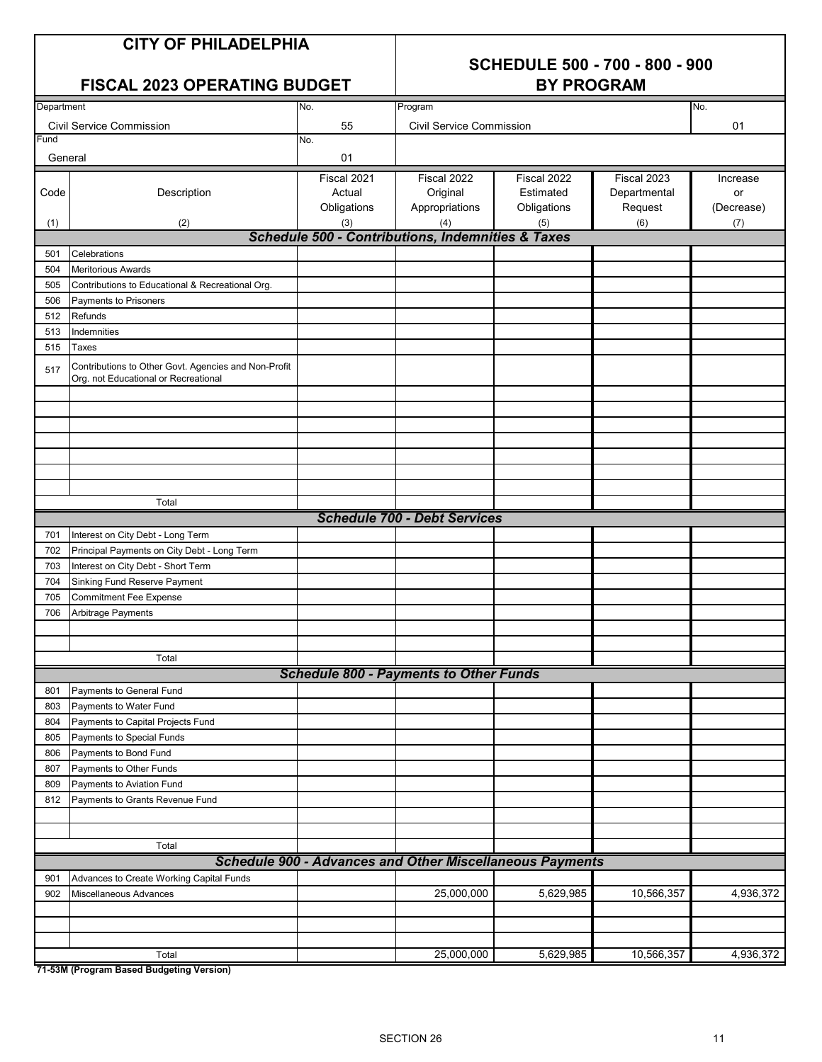# **SCHEDULE 500 - 700 - 800 - 900**

#### **FISCAL 2023 OPERATING BUDGET**

| Department |                                                                                              | No.         | Program                                                             | INO.        |              |            |  |  |  |  |  |
|------------|----------------------------------------------------------------------------------------------|-------------|---------------------------------------------------------------------|-------------|--------------|------------|--|--|--|--|--|
|            | <b>Civil Service Commission</b>                                                              | 55          | <b>Civil Service Commission</b>                                     |             |              | 01         |  |  |  |  |  |
| Fund       |                                                                                              | No.         |                                                                     |             |              |            |  |  |  |  |  |
| General    |                                                                                              | 01          |                                                                     |             |              |            |  |  |  |  |  |
|            |                                                                                              | Fiscal 2021 | Fiscal 2022                                                         | Fiscal 2022 | Fiscal 2023  |            |  |  |  |  |  |
|            |                                                                                              |             |                                                                     | Estimated   |              | Increase   |  |  |  |  |  |
| Code       | Description                                                                                  | Actual      | Original                                                            |             | Departmental | or         |  |  |  |  |  |
|            |                                                                                              | Obligations | Appropriations                                                      | Obligations | Request      | (Decrease) |  |  |  |  |  |
| (1)        | (2)                                                                                          | (3)         | (4)<br><b>Schedule 500 - Contributions, Indemnities &amp; Taxes</b> | (5)         | (6)          | (7)        |  |  |  |  |  |
|            |                                                                                              |             |                                                                     |             |              |            |  |  |  |  |  |
| 501        | Celebrations                                                                                 |             |                                                                     |             |              |            |  |  |  |  |  |
| 504        | <b>Meritorious Awards</b>                                                                    |             |                                                                     |             |              |            |  |  |  |  |  |
| 505        | Contributions to Educational & Recreational Org.                                             |             |                                                                     |             |              |            |  |  |  |  |  |
| 506        | Payments to Prisoners                                                                        |             |                                                                     |             |              |            |  |  |  |  |  |
| 512        | Refunds                                                                                      |             |                                                                     |             |              |            |  |  |  |  |  |
| 513        | Indemnities                                                                                  |             |                                                                     |             |              |            |  |  |  |  |  |
| 515        | Taxes                                                                                        |             |                                                                     |             |              |            |  |  |  |  |  |
| 517        | Contributions to Other Govt. Agencies and Non-Profit<br>Org. not Educational or Recreational |             |                                                                     |             |              |            |  |  |  |  |  |
|            |                                                                                              |             |                                                                     |             |              |            |  |  |  |  |  |
|            |                                                                                              |             |                                                                     |             |              |            |  |  |  |  |  |
|            |                                                                                              |             |                                                                     |             |              |            |  |  |  |  |  |
|            |                                                                                              |             |                                                                     |             |              |            |  |  |  |  |  |
|            |                                                                                              |             |                                                                     |             |              |            |  |  |  |  |  |
|            |                                                                                              |             |                                                                     |             |              |            |  |  |  |  |  |
|            |                                                                                              |             |                                                                     |             |              |            |  |  |  |  |  |
| Total      |                                                                                              |             |                                                                     |             |              |            |  |  |  |  |  |
|            | <b>Schedule 700 - Debt Services</b>                                                          |             |                                                                     |             |              |            |  |  |  |  |  |
| 701        | Interest on City Debt - Long Term                                                            |             |                                                                     |             |              |            |  |  |  |  |  |
| 702        | Principal Payments on City Debt - Long Term                                                  |             |                                                                     |             |              |            |  |  |  |  |  |
| 703        | Interest on City Debt - Short Term                                                           |             |                                                                     |             |              |            |  |  |  |  |  |
| 704        | Sinking Fund Reserve Payment                                                                 |             |                                                                     |             |              |            |  |  |  |  |  |
| 705        | <b>Commitment Fee Expense</b>                                                                |             |                                                                     |             |              |            |  |  |  |  |  |
| 706        | Arbitrage Payments                                                                           |             |                                                                     |             |              |            |  |  |  |  |  |
|            |                                                                                              |             |                                                                     |             |              |            |  |  |  |  |  |
|            |                                                                                              |             |                                                                     |             |              |            |  |  |  |  |  |
|            | Total                                                                                        |             |                                                                     |             |              |            |  |  |  |  |  |
|            |                                                                                              |             | <b>Schedule 800 - Payments to Other Funds</b>                       |             |              |            |  |  |  |  |  |
| 801        | Payments to General Fund                                                                     |             |                                                                     |             |              |            |  |  |  |  |  |
|            | 803 Payments to Water Fund                                                                   |             |                                                                     |             |              |            |  |  |  |  |  |
| 804        | Payments to Capital Projects Fund                                                            |             |                                                                     |             |              |            |  |  |  |  |  |
| 805        | Payments to Special Funds                                                                    |             |                                                                     |             |              |            |  |  |  |  |  |
| 806        | Payments to Bond Fund                                                                        |             |                                                                     |             |              |            |  |  |  |  |  |
| 807        | Payments to Other Funds                                                                      |             |                                                                     |             |              |            |  |  |  |  |  |
| 809        | Payments to Aviation Fund                                                                    |             |                                                                     |             |              |            |  |  |  |  |  |
| 812        | Payments to Grants Revenue Fund                                                              |             |                                                                     |             |              |            |  |  |  |  |  |
|            |                                                                                              |             |                                                                     |             |              |            |  |  |  |  |  |
|            |                                                                                              |             |                                                                     |             |              |            |  |  |  |  |  |
|            | Total                                                                                        |             |                                                                     |             |              |            |  |  |  |  |  |
|            |                                                                                              |             | <b>Schedule 900 - Advances and Other Miscellaneous Payments</b>     |             |              |            |  |  |  |  |  |
| 901        | Advances to Create Working Capital Funds                                                     |             |                                                                     |             |              |            |  |  |  |  |  |
| 902        | Miscellaneous Advances                                                                       |             | 25,000,000                                                          | 5,629,985   | 10,566,357   | 4,936,372  |  |  |  |  |  |
|            |                                                                                              |             |                                                                     |             |              |            |  |  |  |  |  |
|            |                                                                                              |             |                                                                     |             |              |            |  |  |  |  |  |
|            |                                                                                              |             |                                                                     |             |              |            |  |  |  |  |  |
|            | Total                                                                                        |             | 25,000,000                                                          | 5,629,985   | 10,566,357   | 4,936,372  |  |  |  |  |  |
|            | 71-53M (Program Based Budgeting Version)                                                     |             |                                                                     |             |              |            |  |  |  |  |  |

**71-53M (Program Based Budgeting Version)**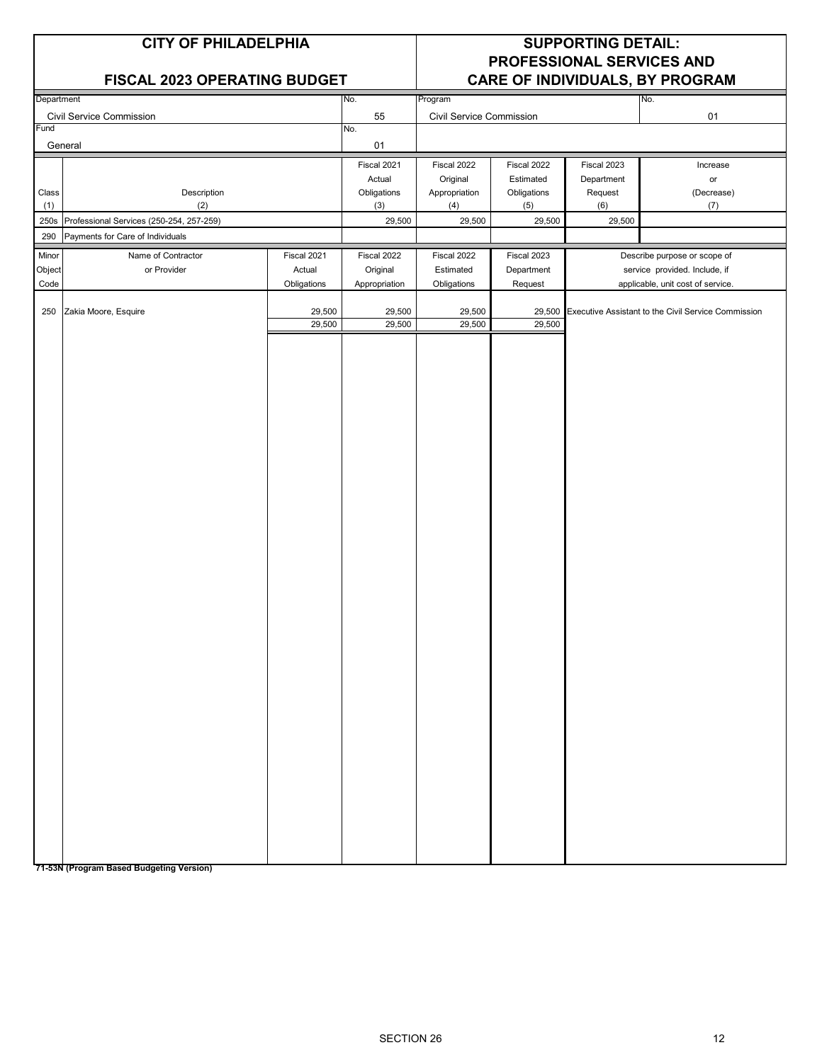|            | <b>CITY OF PHILADELPHIA</b><br><b>FISCAL 2023 OPERATING BUDGET</b> |             |                       |                          |                          | <b>SUPPORTING DETAIL:</b> | PROFESSIONAL SERVICES AND<br>CARE OF INDIVIDUALS, BY PROGRAM |
|------------|--------------------------------------------------------------------|-------------|-----------------------|--------------------------|--------------------------|---------------------------|--------------------------------------------------------------|
| Department |                                                                    |             | No.                   | Program                  |                          |                           | No.                                                          |
|            | <b>Civil Service Commission</b>                                    |             | 55                    | Civil Service Commission |                          |                           | 01                                                           |
| Fund       |                                                                    |             | No.<br>01             |                          |                          |                           |                                                              |
|            | General                                                            |             |                       |                          |                          |                           |                                                              |
|            |                                                                    |             | Fiscal 2021<br>Actual | Fiscal 2022<br>Original  | Fiscal 2022<br>Estimated | Fiscal 2023<br>Department | Increase<br>$\mathsf{or}\,$                                  |
| Class      | Description                                                        |             | Obligations           | Appropriation            | Obligations              | Request                   | (Decrease)                                                   |
| (1)        | (2)                                                                |             | (3)                   | (4)<br>(6)<br>(5)        |                          |                           | (7)                                                          |
| 250s       | Professional Services (250-254, 257-259)                           |             | 29,500                | 29,500                   | 29,500                   | 29,500                    |                                                              |
| 290        | Payments for Care of Individuals                                   |             |                       |                          |                          |                           |                                                              |
| Minor      | Name of Contractor                                                 | Fiscal 2021 | Fiscal 2022           | Fiscal 2022              | Fiscal 2023              |                           | Describe purpose or scope of                                 |
| Object     | or Provider                                                        | Actual      | Original              | Estimated                | Department               |                           | service provided. Include, if                                |
| Code       |                                                                    | Obligations | Appropriation         | Obligations              | Request                  |                           | applicable, unit cost of service.                            |
| 250        | Zakia Moore, Esquire                                               | 29,500      | 29,500                | 29,500                   | 29,500                   |                           | Executive Assistant to the Civil Service Commission          |
|            |                                                                    | 29,500      | 29,500                | 29,500                   | 29,500                   |                           |                                                              |
|            |                                                                    |             |                       |                          |                          |                           |                                                              |

**71-53N (Program Based Budgeting Version)**